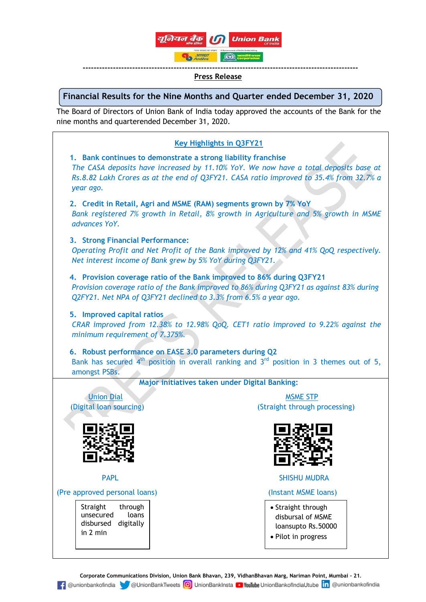

#### **---------------------------------------------------------------------------------------------------- Press Release**

# **Financial Results for the Nine Months and Quarter ended December 31, 2020**

The Board of Directors of Union Bank of India today approved the accounts of the Bank for the nine months and quarterended December 31, 2020.

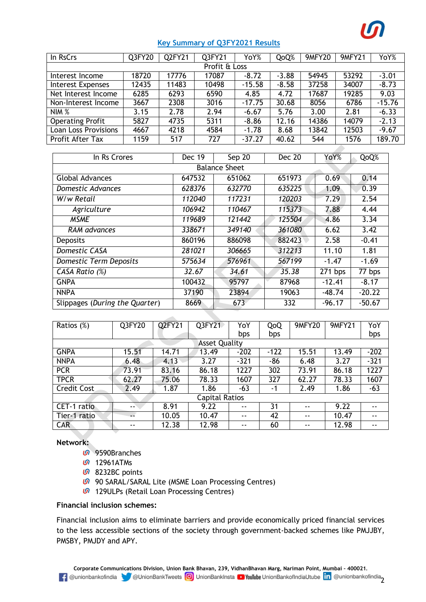

# **Key Summary of Q3FY2021 Results**

| In RsCrs                 | Q3FY20 | Q2FY21 | Q3FY21 | YoY%     | QoQ%    | <b>9MFY20</b> | 9MFY21 | YoY%     |
|--------------------------|--------|--------|--------|----------|---------|---------------|--------|----------|
| Profit & Loss            |        |        |        |          |         |               |        |          |
| Interest Income          | 18720  | 17776  | 17087  | $-8.72$  | $-3.88$ | 54945         | 53292  | $-3.01$  |
| <b>Interest Expenses</b> | 12435  | 11483  | 10498  | $-15.58$ | $-8.58$ | 37258         | 34007  | $-8.73$  |
| Net Interest Income      | 6285   | 6293   | 6590   | 4.85     | 4.72    | 17687         | 19285  | 9.03     |
| Non-Interest Income      | 3667   | 2308   | 3016   | $-17.75$ | 30.68   | 8056          | 6786   | $-15.76$ |
| NIM %                    | 3.15   | 2.78   | 2.94   | $-6.67$  | 5.76    | 3.00          | 2.81   | $-6.33$  |
| <b>Operating Profit</b>  | 5827   | 4735   | 5311   | $-8.86$  | 12.16   | 14386         | 14079  | $-2.13$  |
| Loan Loss Provisions     | 4667   | 4218   | 4584   | $-1.78$  | 8.68    | 13842         | 12503  | $-9.67$  |
| Profit After Tax         | 1159   | 517    | 727    | $-37.27$ | 40.62   | 544           | 1576   | 189.70   |

| In Rs Crores                   | <b>Dec 19</b> | Sep 20 | <b>Dec 20</b> |          | QoQ%     |  |  |  |  |
|--------------------------------|---------------|--------|---------------|----------|----------|--|--|--|--|
| <b>Balance Sheet</b>           |               |        |               |          |          |  |  |  |  |
| <b>Global Advances</b>         | 647532        | 651062 | 651973        | 0.69     | 0.14     |  |  |  |  |
| Domestic Advances              | 628376        | 632770 | 635225        | 1.09     | 0.39     |  |  |  |  |
| W/w Retail                     | 112040        | 117231 | 120203        | 7.29     | 2.54     |  |  |  |  |
| Agriculture                    | 106942        | 110467 | 115373        | 7.88     | 4.44     |  |  |  |  |
| <b>MSME</b>                    | 119689        | 121442 | 125504        | 4.86     | 3.34     |  |  |  |  |
| RAM advances                   | 338671        | 349140 | 361080        | 6.62     | 3.42     |  |  |  |  |
| <b>Deposits</b>                | 860196        | 886098 | 882423        | 2.58     | $-0.41$  |  |  |  |  |
| <b>Domestic CASA</b>           | 281021        | 306665 | 312213        | 11.10    | 1.81     |  |  |  |  |
| <b>Domestic Term Deposits</b>  | 575634        | 576961 | 567199        | $-1.47$  | $-1.69$  |  |  |  |  |
| CASA Ratio (%)                 | 32.67         | 34.61  | 35.38         | 271 bps  | 77 bps   |  |  |  |  |
| <b>GNPA</b>                    | 100432        | 95797  | 87968         | $-12.41$ | $-8.17$  |  |  |  |  |
| <b>NNPA</b>                    | 37190         | 23894  | 19063         | $-48.74$ | $-20.22$ |  |  |  |  |
| Slippages (During the Quarter) | 8669          | 673    | 332           | $-96.17$ | $-50.67$ |  |  |  |  |

| Ratios (%)            | Q3FY20 | Q2FY21 | Q3FY21 | YoY    | QoQ    | 9MFY20 | 9MFY21 | YoY    |
|-----------------------|--------|--------|--------|--------|--------|--------|--------|--------|
|                       |        |        |        | bps    | bps    |        |        | bps    |
| <b>Asset Quality</b>  |        |        |        |        |        |        |        |        |
| <b>GNPA</b>           | 15.51  | 14.71  | 13.49  | $-202$ | $-122$ | 15.51  | 13.49  | $-202$ |
| <b>NNPA</b>           | 6.48   | 4.13   | 3.27   | $-321$ | -86    | 6.48   | 3.27   | $-321$ |
| <b>PCR</b>            | 73.91  | 83.16  | 86.18  | 1227   | 302    | 73.91  | 86.18  | 1227   |
| <b>TPCR</b>           | 62.27  | 75.06  | 78.33  | 1607   | 327    | 62.27  | 78.33  | 1607   |
| Credit Cost           | 2.49   | 1.87   | 1.86   | $-63$  | -1     | 2.49   | 1.86   | $-63$  |
| <b>Capital Ratios</b> |        |        |        |        |        |        |        |        |
| CET-1 ratio           | $- -$  | 8.91   | 9.22   | $- -$  | 31     | $- -$  | 9.22   | $- -$  |
| Tier-1 ratio          |        | 10.05  | 10.47  | $- -$  | 42     | $- -$  | 10.47  | $- -$  |
| <b>CAR</b>            |        | 12.38  | 12.98  | $- -$  | 60     | $- -$  | 12.98  | $- -$  |

## **Network:**

- 9590Branches
- **00** 12961ATMs
- *G* 8232BC points
- **00** 90 SARAL/SARAL Lite (MSME Loan Processing Centres)
- **0** 129ULPs (Retail Loan Processing Centres)

## **Financial inclusion schemes:**

Financial inclusion aims to eliminate barriers and provide economically priced financial services to the less accessible sections of the society through government-backed schemes like PMJJBY, PMSBY, PMJDY and APY.